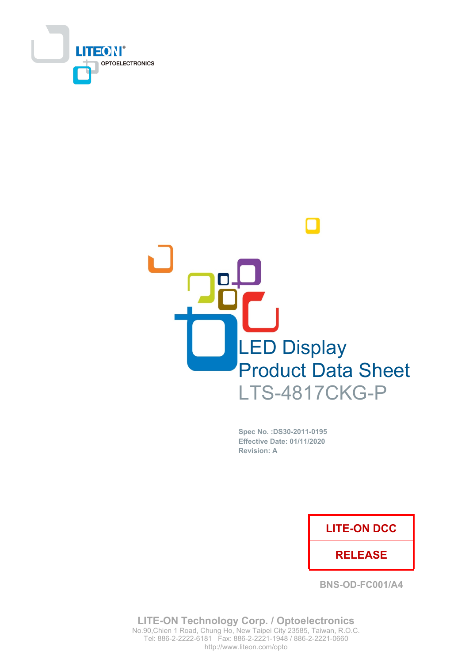



Spec No. : DS30-2011-0195 **Effective Date: 01/11/2020 Revision: A** 

### **LITE-ON DCC**

### **RELEASE**

**BNS-OD-FC001/A4** 

**LITE-ON Technology Corp. / Optoelectronics** No.90, Chien 1 Road, Chung Ho, New Taipei City 23585, Taiwan, R.O.C. Tel: 886-2-2222-6181 Fax: 886-2-2221-1948 / 886-2-2221-0660 http://www.liteon.com/opto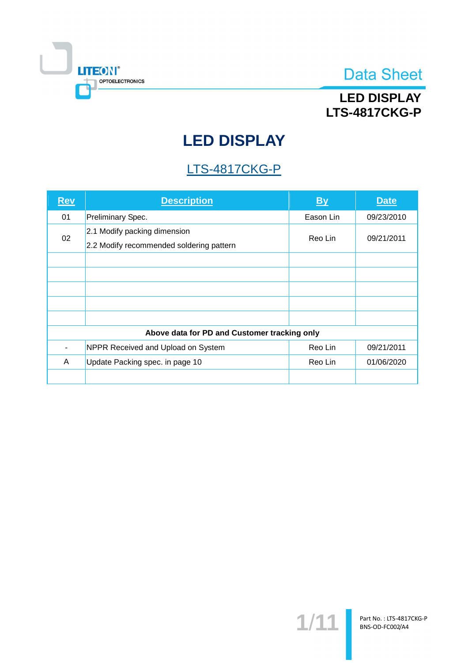

## **LED DISPLAY LTS-4817CKG-P**

# **LED DISPLAY**

## **LTS-4817CKG-P**

| <b>Rev</b>                                   | <b>Description</b>                                                       | By        | <b>Date</b> |  |  |
|----------------------------------------------|--------------------------------------------------------------------------|-----------|-------------|--|--|
| 01                                           | Preliminary Spec.                                                        | Eason Lin | 09/23/2010  |  |  |
| 02                                           | 2.1 Modify packing dimension<br>2.2 Modify recommended soldering pattern | Reo Lin   | 09/21/2011  |  |  |
|                                              |                                                                          |           |             |  |  |
|                                              |                                                                          |           |             |  |  |
|                                              |                                                                          |           |             |  |  |
|                                              |                                                                          |           |             |  |  |
|                                              |                                                                          |           |             |  |  |
| Above data for PD and Customer tracking only |                                                                          |           |             |  |  |
|                                              | NPPR Received and Upload on System                                       | Reo Lin   | 09/21/2011  |  |  |
| A                                            | Update Packing spec. in page 10                                          | Reo Lin   | 01/06/2020  |  |  |
|                                              |                                                                          |           |             |  |  |

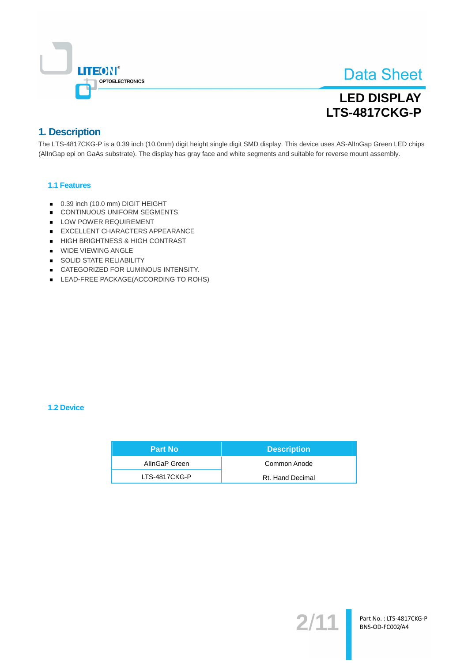

## **LED DISPLAY** LTS-4817CKG-P

### 1. Description

The LTS-4817CKG-P is a 0.39 inch (10.0mm) digit height single digit SMD display. This device uses AS-AllnGap Green LED chips (AllnGap epi on GaAs substrate). The display has gray face and white segments and suitable for reverse mount assembly.

### 1.1 Features

- 0.39 inch (10.0 mm) DIGIT HEIGHT
- CONTINUOUS UNIFORM SEGMENTS
- LOW POWER REQUIREMENT
- EXCELLENT CHARACTERS APPEARANCE
- HIGH BRIGHTNESS & HIGH CONTRAST
- WIDE VIEWING ANGLE
- SOLID STATE RELIABILITY
- CATEGORIZED FOR LUMINOUS INTENSITY.
- LEAD-FREE PACKAGE(ACCORDING TO ROHS)

### 1.2 Device

| <b>Part No</b> | <b>Description</b> |
|----------------|--------------------|
| AllnGaP Green  | Common Anode       |
| LTS-4817CKG-P  | Rt. Hand Decimal   |

 $2/$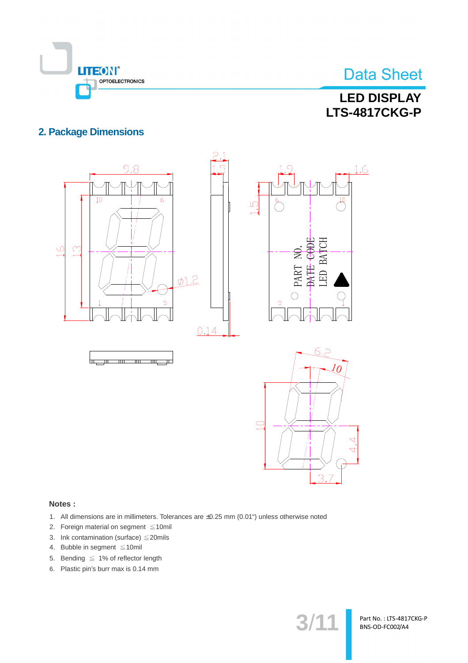

## **LED DISPLAY LTS-4817CKG-P**

### **2. Package Dimensions**



#### Notes:

- 1. All dimensions are in millimeters. Tolerances are ±0.25 mm (0.01") unless otherwise noted
- 2. Foreign material on segment ≤10mil
- 3. Ink contamination (surface)  $\leq$  20mils
- 4. Bubble in segment  $\leq 10$ mil
- 5. Bending  $\leq 1\%$  of reflector length
- 6. Plastic pin's burr max is 0.14 mm

 $3/1$ <sup>.</sup>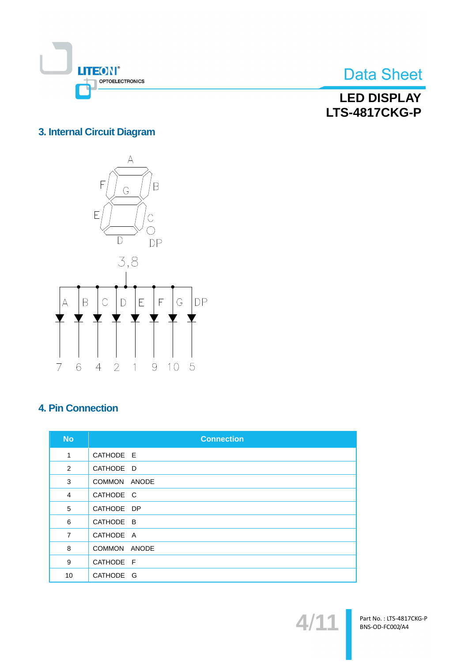

**LED DISPLAY LTS-4817CKG-P** 

### 3. Internal Circuit Diagram



## **4. Pin Connection**

| <b>No</b>      | <b>Connection</b> |
|----------------|-------------------|
| 1              | CATHODE E         |
| 2              | CATHODE D         |
| 3              | COMMON ANODE      |
| 4              | CATHODE C         |
| 5              | CATHODE DP        |
| 6              | CATHODE B         |
| $\overline{7}$ | CATHODE A         |
| 8              | COMMON ANODE      |
| 9              | CATHODE F         |
| 10             | CATHODE G         |

 $\blacktriangle$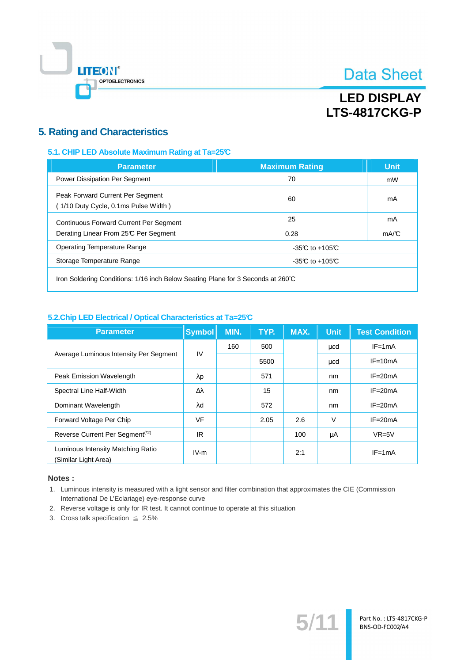

## **LED DISPLAY LTS-4817CKG-P**

### **5. Rating and Characteristics**

### 5.1. CHIP LED Absolute Maximum Rating at Ta=25°C

| <b>Parameter</b>                                                                       | <b>Maximum Rating</b> | <b>Unit</b> |
|----------------------------------------------------------------------------------------|-----------------------|-------------|
| Power Dissipation Per Segment                                                          | 70                    | mW          |
| Peak Forward Current Per Segment<br>(1/10 Duty Cycle, 0.1ms Pulse Width)               | 60                    | mA          |
| <b>Continuous Forward Current Per Segment</b><br>Derating Linear From 25°C Per Segment | 25<br>0.28            | mA<br>mA/C  |
| <b>Operating Temperature Range</b>                                                     | $-35C$ to $+105C$     |             |
| Storage Temperature Range                                                              | -35 $C$ to +105 $C$   |             |
|                                                                                        |                       |             |

Iron Soldering Conditions: 1/16 inch Below Seating Plane for 3 Seconds at 260°C

### 5.2. Chip LED Electrical / Optical Characteristics at Ta=25°C

| <b>Parameter</b>                                          | <b>Symbol</b>    | MIN. | TYP. | MAX. | <b>Unit</b> | <b>Test Condition</b> |
|-----------------------------------------------------------|------------------|------|------|------|-------------|-----------------------|
| Average Luminous Intensity Per Segment                    | IV               | 160  | 500  |      | μcd         | $IF = 1mA$            |
|                                                           |                  |      | 5500 |      | μcd         | $IF = 10mA$           |
| Peak Emission Wavelength                                  | $\lambda$ p      |      | 571  |      | nm          | $IF = 20mA$           |
| Spectral Line Half-Width                                  | $\Delta \lambda$ |      | 15   |      | nm          | $IF = 20mA$           |
| Dominant Wavelength                                       | $\lambda$ d      |      | 572  |      | nm          | $IF = 20mA$           |
| Forward Voltage Per Chip                                  | <b>VF</b>        |      | 2.05 | 2.6  | $\vee$      | $IF = 20mA$           |
| Reverse Current Per Segment <sup>(*2)</sup>               | IR.              |      |      | 100  | μA          | $VR=5V$               |
| Luminous Intensity Matching Ratio<br>(Similar Light Area) | $IV-m$           |      |      | 2:1  |             | $IF = 1mA$            |

### Notes:

1. Luminous intensity is measured with a light sensor and filter combination that approximates the CIE (Commission International De L'Eclariage) eye-response curve

 $5'$ 

- 2. Reverse voltage is only for IR test. It cannot continue to operate at this situation
- 3. Cross talk specification  $\leq 2.5\%$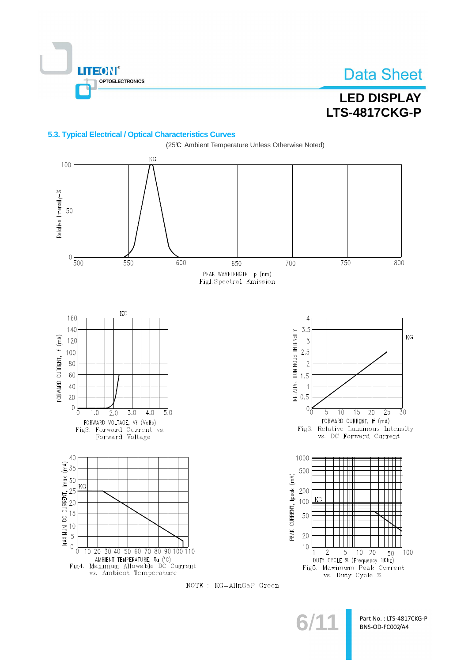

## **LED DISPLAY LTS-4817CKG-P**

### 5.3. Typical Electrical / Optical Characteristics Curves



NOTE : KG=AllnGaP Green

Part No.: LTS-4817CKG-P BNS-OD-FC002/A4

 $3/1$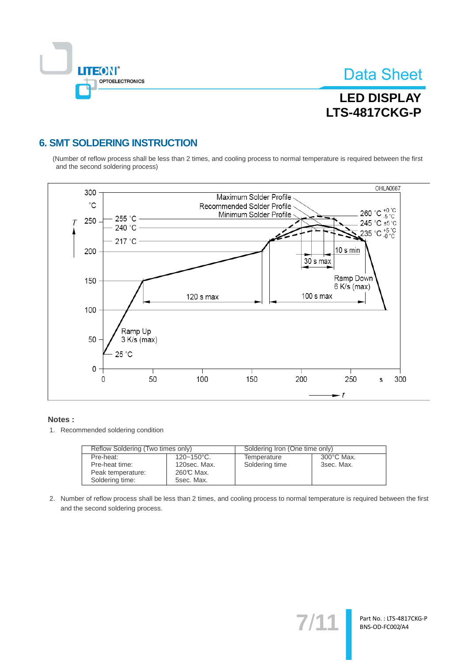

Part No.: LTS-4817CKG-P BNS-OD-FC002/A4

# **LED DISPLAY LTS-4817CKG-P**

### **6. SMT SOLDERING INSTRUCTION**

(Number of reflow process shall be less than 2 times, and cooling process to normal temperature is required between the first and the second soldering process)



#### Notes:

1. Recommended soldering condition

| Reflow Soldering (Two times only) |                 | Soldering Iron (One time only) |            |  |
|-----------------------------------|-----------------|--------------------------------|------------|--|
| Pre-heat:                         | $120 - 150$ °C. | Temperature                    | 300°C Max. |  |
| Pre-heat time:                    | 120sec. Max.    | Soldering time                 | 3sec. Max. |  |
| Peak temperature:                 | 260℃ Max.       |                                |            |  |
| Soldering time:                   | 5sec. Max.      |                                |            |  |

2. Number of reflow process shall be less than 2 times, and cooling process to normal temperature is required between the first and the second soldering process.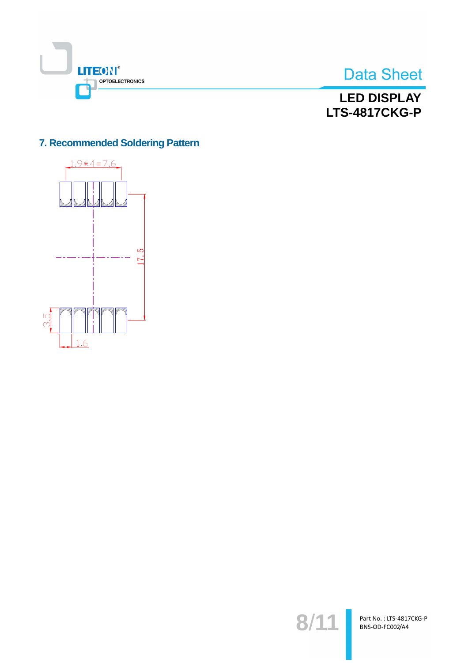



## **LED DISPLAY LTS-4817CKG-P**

### 7. Recommended Soldering Pattern



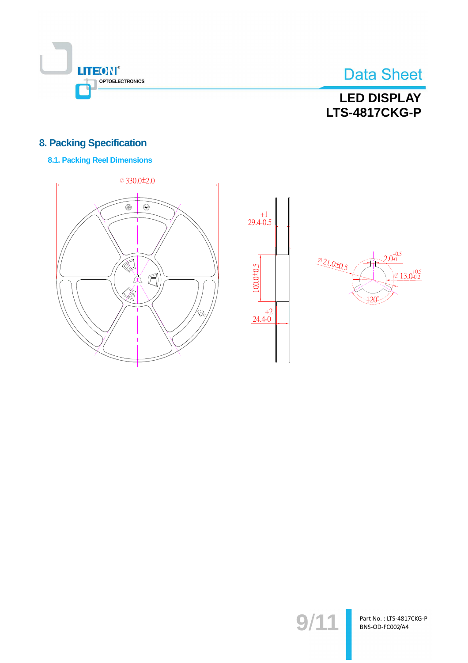

## **LED DISPLAY LTS-4817CKG-P**

### **8. Packing Specification**

### **8.1. Packing Reel Dimensions**







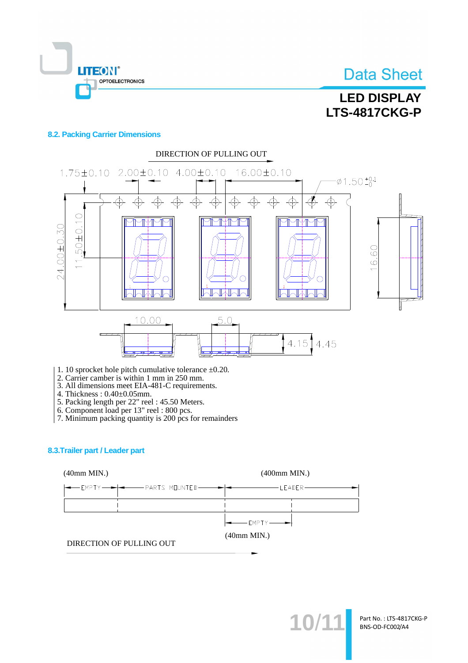

# **LED DISPLAY LTS-4817CKG-P**

### **8.2. Packing Carrier Dimensions**



- 1. 10 sprocket hole pitch cumulative tolerance  $\pm 0.20$ .
- 2. Carrier camber is within 1 mm in 250 mm.<br>3. All dimensions meet EIA-481-C requirements.
- 
- 
- 
- 
- 4. Thickness :  $0.40\pm0.05$ mm.<br>
5. Packing length per 22" reel : 45.50 Meters.<br>
6. Component load per 13" reel : 800 pcs.<br>
7. Minimum packing quantity is 200 pcs for remainders

#### 8.3. Trailer part / Leader part



10